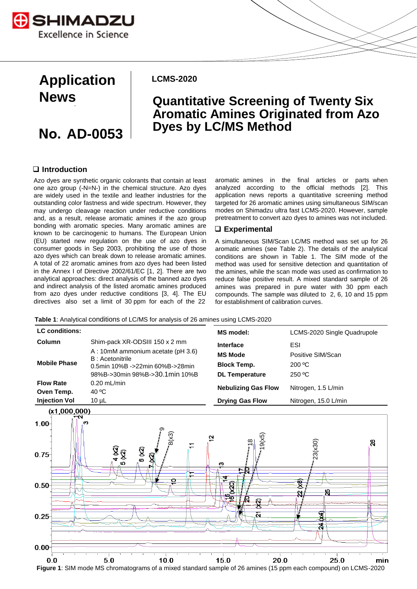

# **Application News**

## **AD-0053**

**LCMS-2020**

### **Quantitative Screening of Twenty Six Aromatic Amines Originated from Azo Dyes by LC/MS Method**

### **Introduction**

Azo dyes are synthetic organic colorants that contain at least one azo group (-N=N-) in the chemical structure. Azo dyes are widely used in the textile and leather industries for the outstanding color fastness and wide spectrum. However, they may undergo cleavage reaction under reductive conditions and, as a result, release aromatic amines if the azo group bonding with aromatic species. Many aromatic amines are known to be carcinogenic to humans. The European Union (EU) started new regulation on the use of azo dyes in consumer goods in Sep 2003, prohibiting the use of those azo dyes which can break down to release aromatic amines. A total of 22 aromatic amines from azo dyes had been listed in the Annex I of Directive 2002/61/EC [1, 2]. There are two analytical approaches: direct analysis of the banned azo dyes and indirect analysis of the listed aromatic amines produced from azo dyes under reductive conditions [3, 4]. The EU directives also set a limit of 30 ppm for each of the 22

aromatic amines in the final articles or parts when analyzed according to the official methods [2]. This application news reports a quantitative screening method targeted for 26 aromatic amines using simultaneous SIM/scan modes on Shimadzu ultra fast LCMS-2020. However, sample pretreatment to convert azo dyes to amines was not included.

#### **Experimental**

A simultaneous SIM/Scan LC/MS method was set up for 26 aromatic amines (see Table 2). The details of the analytical conditions are shown in Table 1. The SIM mode of the method was used for sensitive detection and quantitation of the amines, while the scan mode was used as confirmation to reduce false positive result. A mixed standard sample of 26 amines was prepared in pure water with 30 ppm each compounds. The sample was diluted to 2, 6, 10 and 15 ppm for establishment of calibration curves.

**Table 1**: Analytical conditions of LC/MS for analysis of 26 amines using LCMS-2020



**Figure 1**: SIM mode MS chromatograms of a mixed standard sample of 26 amines (15 ppm each compound) on LCMS-2020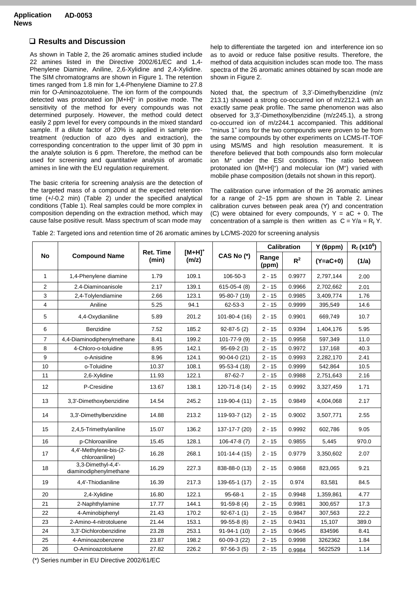#### **Results and Discussion**

As shown in Table 2, the 26 aromatic amines studied include 22 amines listed in the Directive 2002/61/EC and 1,4- Phenylene Diamine, Aniline, 2,6-Xylidine and 2,4-Xylidine. The SIM chromatograms are shown in Figure 1. The retention times ranged from 1.8 min for 1,4-Phenylene Diamine to 27.8 min for O-Aminoazotoluene. The ion form of the compounds detected was protonated ion [M+H]<sup>+</sup> in positive mode. The sensitivity of the method for every compounds was not determined purposely. However, the method could detect easily 2 ppm level for every compounds in the mixed standard sample. If a dilute factor of 20% is applied in sample pretreatment (reduction of azo dyes and extraction), the corresponding concentration to the upper limit of 30 ppm in the analyte solution is 6 ppm. Therefore, the method can be used for screening and quantitative analysis of aromatic amines in line with the EU regulation requirement.

The basic criteria for screening analysis are the detection of the targeted mass of a compound at the expected retention time (+/-0.2 min) (Table 2) under the specified analytical conditions (Table 1). Real samples could be more complex in composition depending on the extraction method, which may cause false positive result. Mass spectrum of scan mode may

help to differentiate the targeted ion and interference ion so as to avoid or reduce false positive results. Therefore, the method of data acquisition includes scan mode too. The mass spectra of the 26 aromatic amines obtained by scan mode are shown in Figure 2.

Noted that, the spectrum of 3,3'-Dimethylbenzidine (m/z 213.1) showed a strong co-occurred ion of m/z212.1 with an exactly same peak profile. The same phenomenon was also observed for 3,3'-Dimethoxylbenzidine (m/z245.1), a strong co-occurred ion of m/z244.1 accompanied. This additional "minus 1" ions for the two compounds were proven to be from the same compounds by other experiments on LCMS-IT-TOF using MS/MS and high resolution measurement. It is therefore believed that both compounds also form molecular ion M<sup>+</sup> under the ESI conditions. The ratio between protonated ion ([M+H]<sup>+</sup>) and molecular ion (M<sup>+</sup>) varied with mobile phase composition (details not shown in this report).

The calibration curve information of the 26 aromatic amines for a range of 2~15 ppm are shown in Table 2. Linear calibration curves between peak area (Y) and concentration (C) were obtained for every compounds,  $Y = aC + 0$ . The concentration of a sample is then written as  $C = Y/a = R_f Y$ .

| Table 2: Targeted ions and retention time of 26 aromatic amines by LC/MS-2020 for screening analysis |  |  |  |  |
|------------------------------------------------------------------------------------------------------|--|--|--|--|
|------------------------------------------------------------------------------------------------------|--|--|--|--|

| <b>No</b>      | <b>Compound Name</b>                         | <b>Ret. Time</b><br>(min) | $[M+H]^+$<br>(m/z) | CAS No (*)         | <b>Calibration</b> |        | Y(6ppm)    | $R_f$ (x10 $^6$ ) |
|----------------|----------------------------------------------|---------------------------|--------------------|--------------------|--------------------|--------|------------|-------------------|
|                |                                              |                           |                    |                    | Range<br>(ppm)     | $R^2$  | $(Y=aC+0)$ | (1/a)             |
| $\mathbf{1}$   | 1,4-Phenylene diamine                        | 1.79                      | 109.1              | 106-50-3           | $2 - 15$           | 0.9977 | 2,797,144  | 2.00              |
| 2              | 2.4-Diaminoanisole                           | 2.17                      | 139.1              | $615-05-4(8)$      | $2 - 15$           | 0.9966 | 2,702,662  | 2.01              |
| 3              | 2,4-Tolylendiamine                           | 2.66                      | 123.1              | 95-80-7 (19)       | $2 - 15$           | 0.9985 | 3,409,774  | 1.76              |
| 4              | Aniline                                      | 5.25                      | 94.1               | 62-53-3            | $2 - 15$           | 0.9999 | 395,549    | 14.6              |
| 5              | 4,4-Oxydianiline                             | 5.89                      | 201.2              | 101-80-4 (16)      | $2 - 15$           | 0.9901 | 669,749    | 10.7              |
| 6              | Benzidine                                    | 7.52                      | 185.2              | $92 - 87 - 5(2)$   | $2 - 15$           | 0.9394 | 1,404,176  | 5.95              |
| $\overline{7}$ | 4,4-Diaminodiphenylmethane                   | 8.41                      | 199.2              | 101-77-9 (9)       | $2 - 15$           | 0.9958 | 597,349    | 11.0              |
| 8              | 4-Chloro-o-toluidine                         | 8.95                      | 142.1              | $95-69-2(3)$       | $2 - 15$           | 0.9972 | 137,168    | 40.3              |
| 9              | o-Anisidine                                  | 8.96                      | 124.1              | $90-04-0(21)$      | $2 - 15$           | 0.9993 | 2,282,170  | 2.41              |
| 10             | o-Toluidine                                  | 10.37                     | 108.1              | 95-53-4 (18)       | $2 - 15$           | 0.9999 | 542,864    | 10.5              |
| 11             | 2,6-Xylidine                                 | 11.93                     | 122.1              | 87-62-7            | $2 - 15$           | 0.9988 | 2,751,643  | 2.16              |
| 12             | P-Cresidine                                  | 13.67                     | 138.1              | 120-71-8 (14)      | $2 - 15$           | 0.9992 | 3,327,459  | 1.71              |
| 13             | 3,3'-Dimethoxybenzidine                      | 14.54                     | 245.2              | 119-90-4 (11)      | $2 - 15$           | 0.9849 | 4,004,068  | 2.17              |
| 14             | 3,3'-Dimethylbenzidine                       | 14.88                     | 213.2              | 119-93-7 (12)      | $2 - 15$           | 0.9002 | 3,507,771  | 2.55              |
| 15             | 2,4,5-Trimethylaniline                       | 15.07                     | 136.2              | 137-17-7 (20)      | $2 - 15$           | 0.9992 | 602,786    | 9.05              |
| 16             | p-Chloroaniline                              | 15.45                     | 128.1              | $106 - 47 - 8(7)$  | $2 - 15$           | 0.9855 | 5,445      | 970.0             |
| 17             | 4,4'-Methylene-bis-(2-<br>chloroaniline)     | 16.28                     | 268.1              | $101 - 14 - 4(15)$ | $2 - 15$           | 0.9779 | 3,350,602  | 2.07              |
| 18             | 3,3-Dimethyl-4,4'-<br>diaminodiphenylmethane | 16.29                     | 227.3              | 838-88-0 (13)      | $2 - 15$           | 0.9868 | 823,065    | 9.21              |
| 19             | 4.4'-Thiodianiline                           | 16.39                     | 217.3              | 139-65-1 (17)      | $2 - 15$           | 0.974  | 83,581     | 84.5              |
| 20             | 2,4-Xylidine                                 | 16.80                     | 122.1              | $95 - 68 - 1$      | $2 - 15$           | 0.9948 | 1,359,861  | 4.77              |
| 21             | 2-Naphthylamine                              | 17.77                     | 144.1              | $91 - 59 - 8(4)$   | $2 - 15$           | 0.9981 | 300,657    | 17.3              |
| 22             | 4-Aminobiphenyl                              | 21.43                     | 170.2              | $92-67-1(1)$       | $2 - 15$           | 0.9847 | 307,563    | 22.2              |
| 23             | 2-Amino-4-nitrotoluene                       | 21.44                     | 153.1              | 99-55-8 (6)        | $2 - 15$           | 0.9431 | 15,107     | 389.0             |
| 24             | 3.3'-Dichlorobenzidine                       | 23.28                     | 253.1              | $91 - 94 - 1(10)$  | $2 - 15$           | 0.9645 | 834596     | 8.41              |
| 25             | 4-Aminoazobenzene                            | 23.87                     | 198.2              | 60-09-3 (22)       | $2 - 15$           | 0.9998 | 3262362    | 1.84              |
| 26             | O-Aminoazotoluene                            | 27.82                     | 226.2              | $97-56-3(5)$       | $2 - 15$           | 0.9984 | 5622529    | 1.14              |

(\*) Series number in EU Directive 2002/61/EC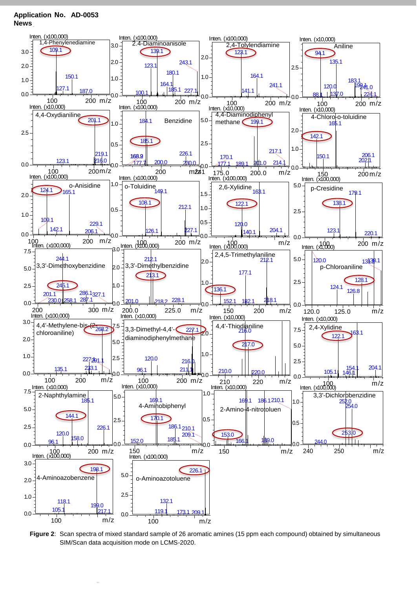**Application AD-0053 News**



**Figure 2**: Scan spectra of mixed standard sample of 26 aromatic amines (15 ppm each compound) obtained by simultaneous SIM/Scan data acquisition mode on LCMS-2020.